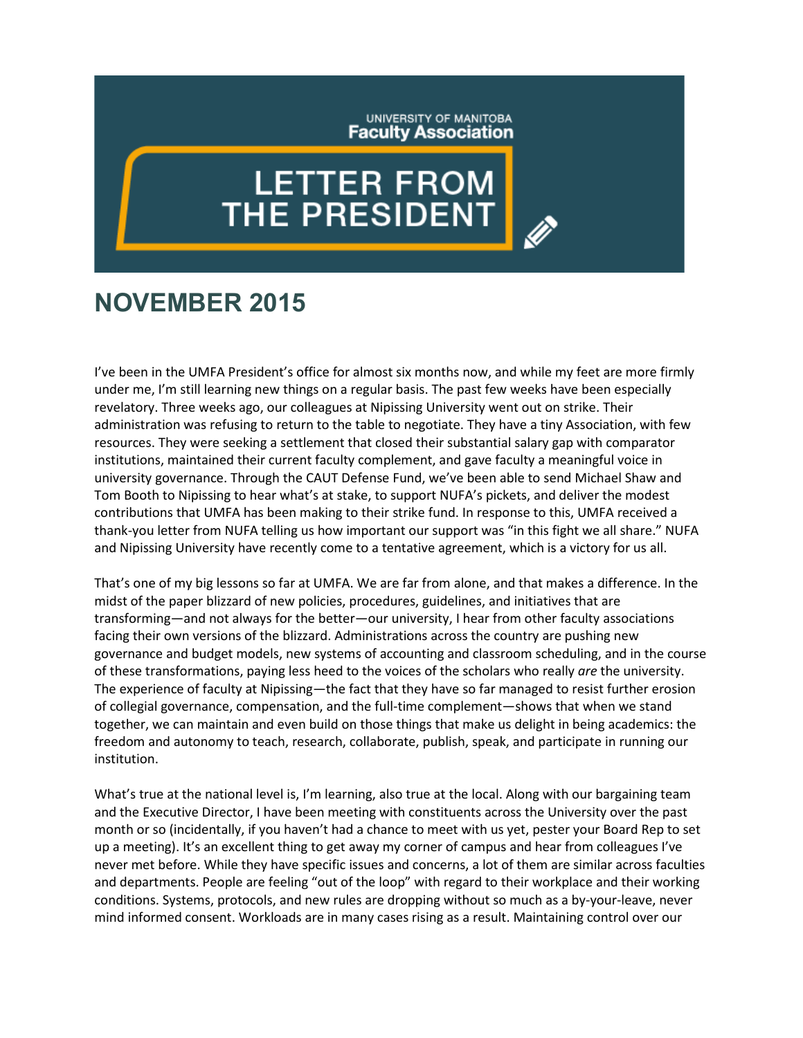## UNIVERSITY OF MANITOBA **Faculty Association**

## **LETTER FROM**<br>THE PRESIDENT

## **NOVEMBER 2015**

I've been in the UMFA President's office for almost six months now, and while my feet are more firmly under me, I'm still learning new things on a regular basis. The past few weeks have been especially revelatory. Three weeks ago, our colleagues at Nipissing University went out on strike. Their administration was refusing to return to the table to negotiate. They have a tiny Association, with few resources. They were seeking a settlement that closed their substantial salary gap with comparator institutions, maintained their current faculty complement, and gave faculty a meaningful voice in university governance. Through the CAUT Defense Fund, we've been able to send Michael Shaw and Tom Booth to Nipissing to hear what's at stake, to support NUFA's pickets, and deliver the modest contributions that UMFA has been making to their strike fund. In response to this, UMFA received a thank-you letter from NUFA telling us how important our support was "in this fight we all share." NUFA and Nipissing University have recently come to a tentative agreement, which is a victory for us all.

That's one of my big lessons so far at UMFA. We are far from alone, and that makes a difference. In the midst of the paper blizzard of new policies, procedures, guidelines, and initiatives that are transforming—and not always for the better—our university, I hear from other faculty associations facing their own versions of the blizzard. Administrations across the country are pushing new governance and budget models, new systems of accounting and classroom scheduling, and in the course of these transformations, paying less heed to the voices of the scholars who really *are* the university. The experience of faculty at Nipissing—the fact that they have so far managed to resist further erosion of collegial governance, compensation, and the full-time complement—shows that when we stand together, we can maintain and even build on those things that make us delight in being academics: the freedom and autonomy to teach, research, collaborate, publish, speak, and participate in running our institution.

What's true at the national level is, I'm learning, also true at the local. Along with our bargaining team and the Executive Director, I have been meeting with constituents across the University over the past month or so (incidentally, if you haven't had a chance to meet with us yet, pester your Board Rep to set up a meeting). It's an excellent thing to get away my corner of campus and hear from colleagues I've never met before. While they have specific issues and concerns, a lot of them are similar across faculties and departments. People are feeling "out of the loop" with regard to their workplace and their working conditions. Systems, protocols, and new rules are dropping without so much as a by-your-leave, never mind informed consent. Workloads are in many cases rising as a result. Maintaining control over our